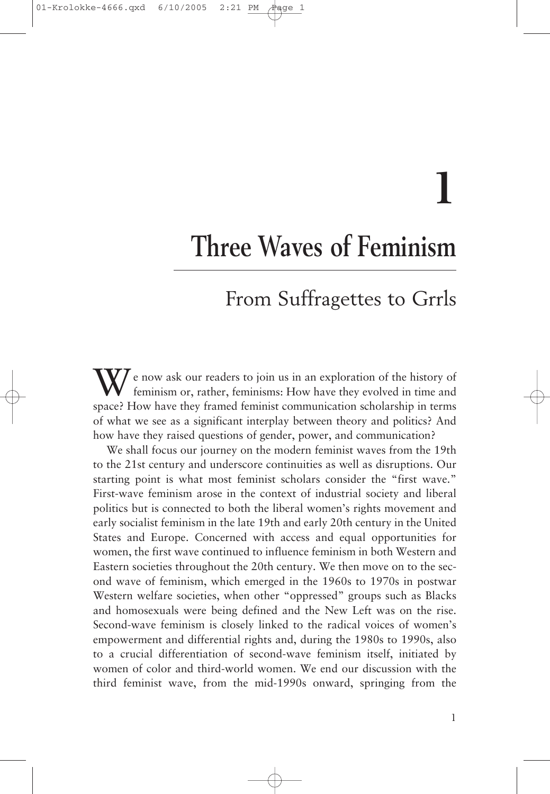# **1**

# **Three Waves of Feminism**

# From Suffragettes to Grrls

e now ask our readers to join us in an exploration of the history of feminism or, rather, feminisms: How have they evolved in time and space? How have they framed feminist communication scholarship in terms of what we see as a significant interplay between theory and politics? And how have they raised questions of gender, power, and communication?

We shall focus our journey on the modern feminist waves from the 19th to the 21st century and underscore continuities as well as disruptions. Our starting point is what most feminist scholars consider the "first wave." First-wave feminism arose in the context of industrial society and liberal politics but is connected to both the liberal women's rights movement and early socialist feminism in the late 19th and early 20th century in the United States and Europe. Concerned with access and equal opportunities for women, the first wave continued to influence feminism in both Western and Eastern societies throughout the 20th century. We then move on to the second wave of feminism, which emerged in the 1960s to 1970s in postwar Western welfare societies, when other "oppressed" groups such as Blacks and homosexuals were being defined and the New Left was on the rise. Second-wave feminism is closely linked to the radical voices of women's empowerment and differential rights and, during the 1980s to 1990s, also to a crucial differentiation of second-wave feminism itself, initiated by women of color and third-world women. We end our discussion with the third feminist wave, from the mid-1990s onward, springing from the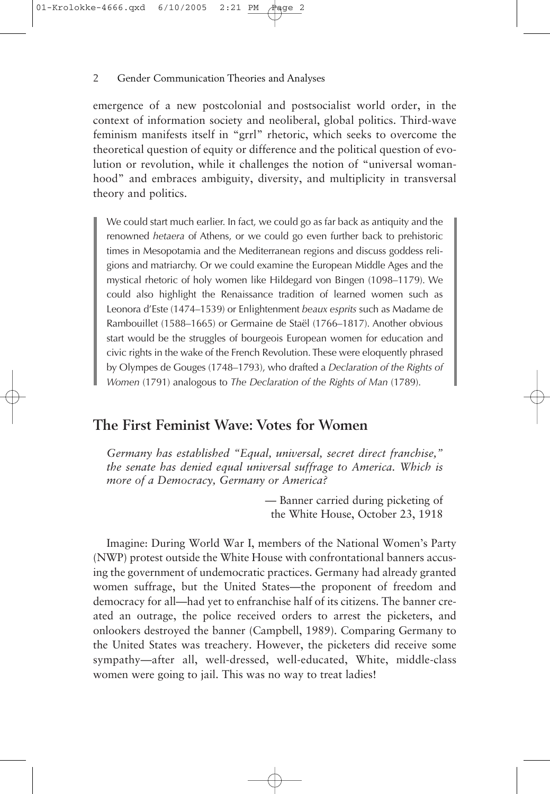emergence of a new postcolonial and postsocialist world order, in the context of information society and neoliberal, global politics. Third-wave feminism manifests itself in "grrl" rhetoric, which seeks to overcome the theoretical question of equity or difference and the political question of evolution or revolution, while it challenges the notion of "universal womanhood" and embraces ambiguity, diversity, and multiplicity in transversal theory and politics.

We could start much earlier. In fact, we could go as far back as antiquity and the renowned *hetaera* of Athens, or we could go even further back to prehistoric times in Mesopotamia and the Mediterranean regions and discuss goddess religions and matriarchy. Or we could examine the European Middle Ages and the mystical rhetoric of holy women like Hildegard von Bingen (1098–1179). We could also highlight the Renaissance tradition of learned women such as Leonora d'Este (1474–1539) or Enlightenment *beaux esprits* such as Madame de Rambouillet (1588–1665) or Germaine de Staël (1766–1817). Another obvious start would be the struggles of bourgeois European women for education and civic rights in the wake of the French Revolution. These were eloquently phrased by Olympes de Gouges (1748–1793), who drafted a *Declaration of the Rights of Women* (1791) analogous to *The Declaration of the Rights of Man* (1789).

# **The First Feminist Wave: Votes for Women**

*Germany has established "Equal, universal, secret direct franchise," the senate has denied equal universal suffrage to America. Which is more of a Democracy, Germany or America?*

> — Banner carried during picketing of the White House, October 23, 1918

Imagine: During World War I, members of the National Women's Party (NWP) protest outside the White House with confrontational banners accusing the government of undemocratic practices. Germany had already granted women suffrage, but the United States—the proponent of freedom and democracy for all—had yet to enfranchise half of its citizens. The banner created an outrage, the police received orders to arrest the picketers, and onlookers destroyed the banner (Campbell, 1989). Comparing Germany to the United States was treachery. However, the picketers did receive some sympathy—after all, well-dressed, well-educated, White, middle-class women were going to jail. This was no way to treat ladies!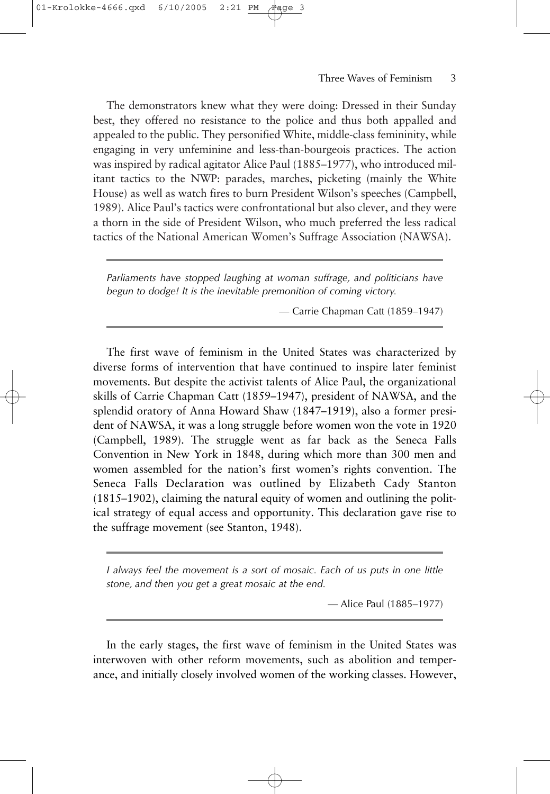The demonstrators knew what they were doing: Dressed in their Sunday best, they offered no resistance to the police and thus both appalled and appealed to the public. They personified White, middle-class femininity, while engaging in very unfeminine and less-than-bourgeois practices. The action was inspired by radical agitator Alice Paul (1885–1977), who introduced militant tactics to the NWP: parades, marches, picketing (mainly the White House) as well as watch fires to burn President Wilson's speeches (Campbell, 1989). Alice Paul's tactics were confrontational but also clever, and they were a thorn in the side of President Wilson, who much preferred the less radical tactics of the National American Women's Suffrage Association (NAWSA).

*Parliaments have stopped laughing at woman suffrage, and politicians have begun to dodge! It is the inevitable premonition of coming victory.*

— Carrie Chapman Catt (1859–1947)

The first wave of feminism in the United States was characterized by diverse forms of intervention that have continued to inspire later feminist movements. But despite the activist talents of Alice Paul, the organizational skills of Carrie Chapman Catt (1859–1947), president of NAWSA, and the splendid oratory of Anna Howard Shaw (1847–1919), also a former president of NAWSA, it was a long struggle before women won the vote in 1920 (Campbell, 1989). The struggle went as far back as the Seneca Falls Convention in New York in 1848, during which more than 300 men and women assembled for the nation's first women's rights convention. The Seneca Falls Declaration was outlined by Elizabeth Cady Stanton (1815–1902), claiming the natural equity of women and outlining the political strategy of equal access and opportunity. This declaration gave rise to the suffrage movement (see Stanton, 1948).

*I always feel the movement is a sort of mosaic. Each of us puts in one little stone, and then you get a great mosaic at the end.*

— Alice Paul (1885–1977)

In the early stages, the first wave of feminism in the United States was interwoven with other reform movements, such as abolition and temperance, and initially closely involved women of the working classes. However,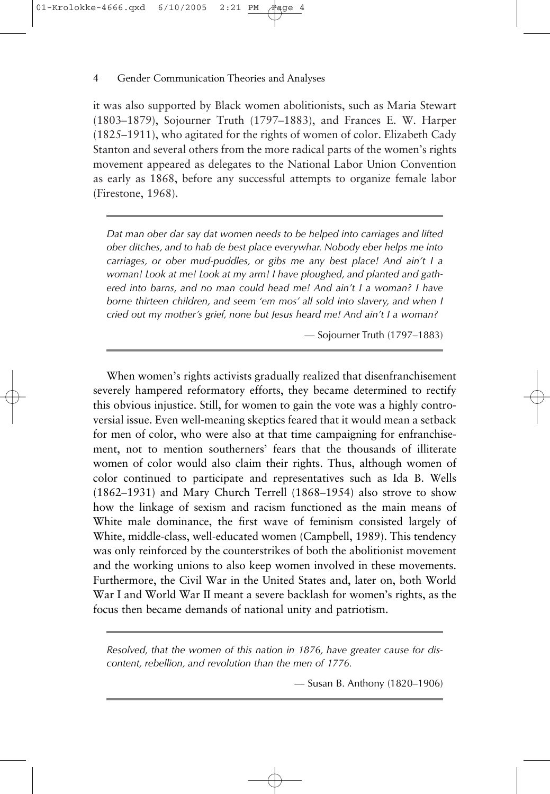it was also supported by Black women abolitionists, such as Maria Stewart (1803–1879), Sojourner Truth (1797–1883), and Frances E. W. Harper (1825–1911), who agitated for the rights of women of color. Elizabeth Cady Stanton and several others from the more radical parts of the women's rights movement appeared as delegates to the National Labor Union Convention as early as 1868, before any successful attempts to organize female labor (Firestone, 1968).

*Dat man ober dar say dat women needs to be helped into carriages and lifted ober ditches, and to hab de best place everywhar. Nobody eber helps me into carriages, or ober mud-puddles, or gibs me any best place! And ain't I a woman! Look at me! Look at my arm! I have ploughed, and planted and gathered into barns, and no man could head me! And ain't I a woman? I have borne thirteen children, and seem 'em mos' all sold into slavery, and when I cried out my mother's grief, none but Jesus heard me! And ain't I a woman?*

— Sojourner Truth (1797–1883)

When women's rights activists gradually realized that disenfranchisement severely hampered reformatory efforts, they became determined to rectify this obvious injustice. Still, for women to gain the vote was a highly controversial issue. Even well-meaning skeptics feared that it would mean a setback for men of color, who were also at that time campaigning for enfranchisement, not to mention southerners' fears that the thousands of illiterate women of color would also claim their rights. Thus, although women of color continued to participate and representatives such as Ida B. Wells (1862–1931) and Mary Church Terrell (1868–1954) also strove to show how the linkage of sexism and racism functioned as the main means of White male dominance, the first wave of feminism consisted largely of White, middle-class, well-educated women (Campbell, 1989). This tendency was only reinforced by the counterstrikes of both the abolitionist movement and the working unions to also keep women involved in these movements. Furthermore, the Civil War in the United States and, later on, both World War I and World War II meant a severe backlash for women's rights, as the focus then became demands of national unity and patriotism.

*Resolved, that the women of this nation in 1876, have greater cause for discontent, rebellion, and revolution than the men of 1776.*

— Susan B. Anthony (1820–1906)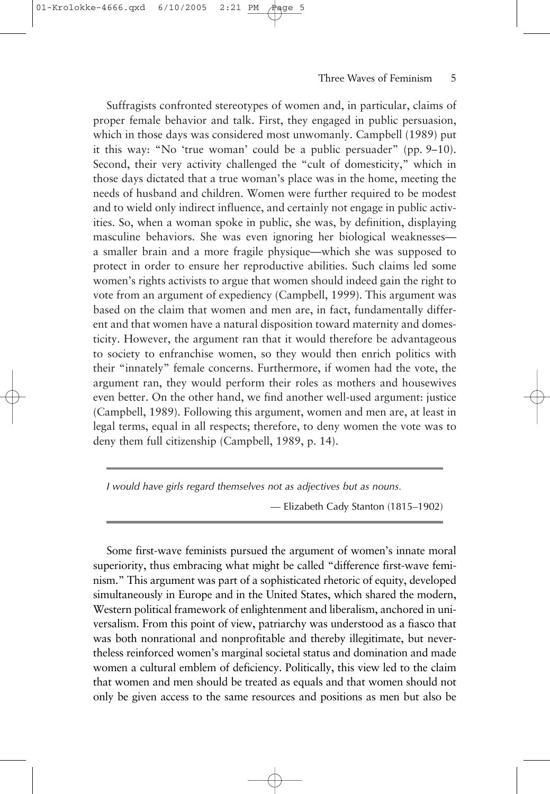Suffragists confronted stereotypes of women and, in particular, claims of proper female behavior and talk. First, they engaged in public persuasion, which in those days was considered most unwomanly. Campbell (1989) put it this way: "No 'true woman' could be a public persuader" (pp. 9–10). Second, their very activity challenged the "cult of domesticity," which in those days dictated that a true woman's place was in the home, meeting the needs of husband and children. Women were further required to be modest and to wield only indirect influence, and certainly not engage in public activities. So, when a woman spoke in public, she was, by definition, displaying masculine behaviors. She was even ignoring her biological weaknesses a smaller brain and a more fragile physique—which she was supposed to protect in order to ensure her reproductive abilities. Such claims led some women's rights activists to argue that women should indeed gain the right to vote from an argument of expediency (Campbell, 1999). This argument was based on the claim that women and men are, in fact, fundamentally different and that women have a natural disposition toward maternity and domesticity. However, the argument ran that it would therefore be advantageous to society to enfranchise women, so they would then enrich politics with their "innately" female concerns. Furthermore, if women had the vote, the argument ran, they would perform their roles as mothers and housewives even better. On the other hand, we find another well-used argument: justice (Campbell, 1989). Following this argument, women and men are, at least in legal terms, equal in all respects; therefore, to deny women the vote was to deny them full citizenship (Campbell, 1989, p. 14).

01-Krolokke-4666.qxd 6/10/2005

*I would have girls regard themselves not as adjectives but as nouns.*

— Elizabeth Cady Stanton (1815–1902)

Some first-wave feminists pursued the argument of women's innate moral superiority, thus embracing what might be called "difference first-wave feminism." This argument was part of a sophisticated rhetoric of equity, developed simultaneously in Europe and in the United States, which shared the modern, Western political framework of enlightenment and liberalism, anchored in universalism. From this point of view, patriarchy was understood as a fiasco that was both nonrational and nonprofitable and thereby illegitimate, but nevertheless reinforced women's marginal societal status and domination and made women a cultural emblem of deficiency. Politically, this view led to the claim that women and men should be treated as equals and that women should not only be given access to the same resources and positions as men but also be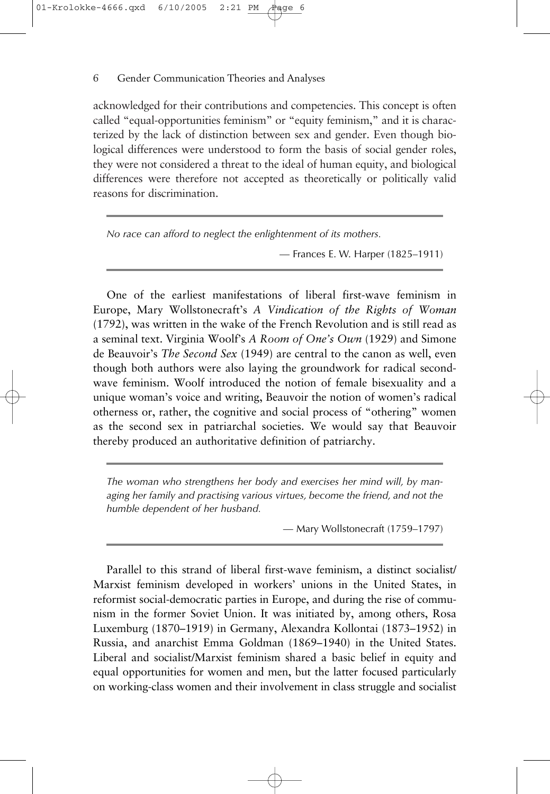acknowledged for their contributions and competencies. This concept is often called "equal-opportunities feminism" or "equity feminism," and it is characterized by the lack of distinction between sex and gender. Even though biological differences were understood to form the basis of social gender roles, they were not considered a threat to the ideal of human equity, and biological differences were therefore not accepted as theoretically or politically valid reasons for discrimination.

*No race can afford to neglect the enlightenment of its mothers.*

— Frances E. W. Harper (1825–1911)

One of the earliest manifestations of liberal first-wave feminism in Europe, Mary Wollstonecraft's *A Vindication of the Rights of Woman* (1792), was written in the wake of the French Revolution and is still read as a seminal text. Virginia Woolf's *A Room of One's Own* (1929) and Simone de Beauvoir's *The Second Sex* (1949) are central to the canon as well, even though both authors were also laying the groundwork for radical secondwave feminism. Woolf introduced the notion of female bisexuality and a unique woman's voice and writing, Beauvoir the notion of women's radical otherness or, rather, the cognitive and social process of "othering" women as the second sex in patriarchal societies. We would say that Beauvoir thereby produced an authoritative definition of patriarchy.

*The woman who strengthens her body and exercises her mind will, by managing her family and practising various virtues, become the friend, and not the humble dependent of her husband.*

— Mary Wollstonecraft (1759–1797)

Parallel to this strand of liberal first-wave feminism, a distinct socialist/ Marxist feminism developed in workers' unions in the United States, in reformist social-democratic parties in Europe, and during the rise of communism in the former Soviet Union. It was initiated by, among others, Rosa Luxemburg (1870–1919) in Germany, Alexandra Kollontai (1873–1952) in Russia, and anarchist Emma Goldman (1869–1940) in the United States. Liberal and socialist/Marxist feminism shared a basic belief in equity and equal opportunities for women and men, but the latter focused particularly on working-class women and their involvement in class struggle and socialist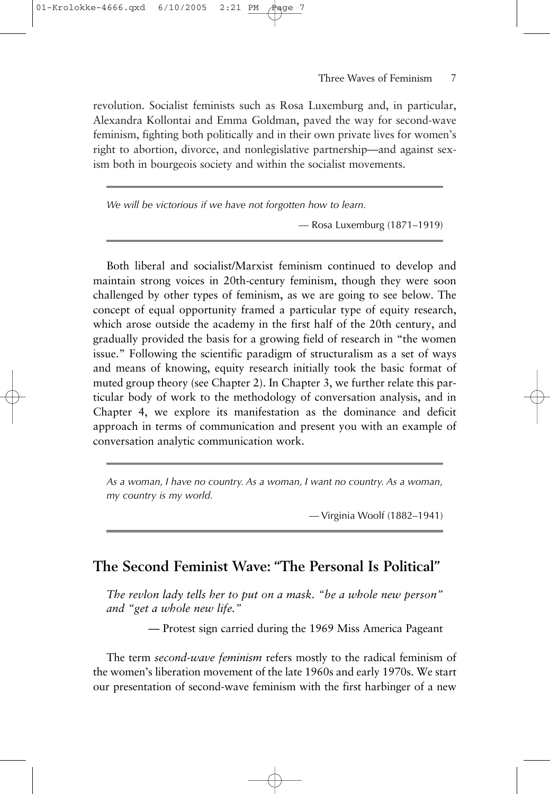revolution. Socialist feminists such as Rosa Luxemburg and, in particular, Alexandra Kollontai and Emma Goldman, paved the way for second-wave feminism, fighting both politically and in their own private lives for women's right to abortion, divorce, and nonlegislative partnership—and against sexism both in bourgeois society and within the socialist movements.

*We will be victorious if we have not forgotten how to learn.*

— Rosa Luxemburg (1871–1919)

Both liberal and socialist/Marxist feminism continued to develop and maintain strong voices in 20th-century feminism, though they were soon challenged by other types of feminism, as we are going to see below. The concept of equal opportunity framed a particular type of equity research, which arose outside the academy in the first half of the 20th century, and gradually provided the basis for a growing field of research in "the women issue." Following the scientific paradigm of structuralism as a set of ways and means of knowing, equity research initially took the basic format of muted group theory (see Chapter 2). In Chapter 3, we further relate this particular body of work to the methodology of conversation analysis, and in Chapter 4, we explore its manifestation as the dominance and deficit approach in terms of communication and present you with an example of conversation analytic communication work.

*As a woman, I have no country. As a woman, I want no country. As a woman, my country is my world.*

— Virginia Woolf (1882–1941)

## **The Second Feminist Wave: "The Personal Is Political"**

*The revlon lady tells her to put on a mask. "be a whole new person" and "get a whole new life."*

— Protest sign carried during the 1969 Miss America Pageant

The term *second-wave feminism* refers mostly to the radical feminism of the women's liberation movement of the late 1960s and early 1970s. We start our presentation of second-wave feminism with the first harbinger of a new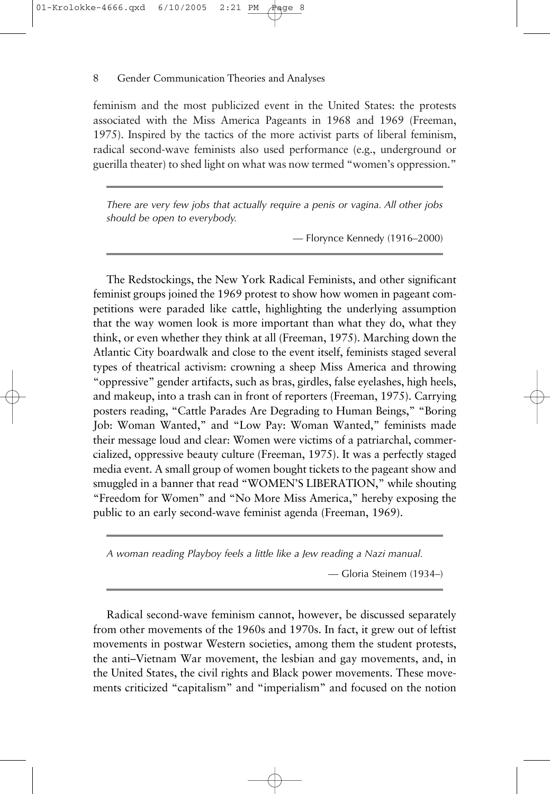feminism and the most publicized event in the United States: the protests associated with the Miss America Pageants in 1968 and 1969 (Freeman, 1975). Inspired by the tactics of the more activist parts of liberal feminism, radical second-wave feminists also used performance (e.g., underground or guerilla theater) to shed light on what was now termed "women's oppression."

*There are very few jobs that actually require a penis or vagina. All other jobs should be open to everybody.*

— Florynce Kennedy (1916–2000)

The Redstockings, the New York Radical Feminists, and other significant feminist groups joined the 1969 protest to show how women in pageant competitions were paraded like cattle, highlighting the underlying assumption that the way women look is more important than what they do, what they think, or even whether they think at all (Freeman, 1975). Marching down the Atlantic City boardwalk and close to the event itself, feminists staged several types of theatrical activism: crowning a sheep Miss America and throwing "oppressive" gender artifacts, such as bras, girdles, false eyelashes, high heels, and makeup, into a trash can in front of reporters (Freeman, 1975). Carrying posters reading, "Cattle Parades Are Degrading to Human Beings," "Boring Job: Woman Wanted," and "Low Pay: Woman Wanted," feminists made their message loud and clear: Women were victims of a patriarchal, commercialized, oppressive beauty culture (Freeman, 1975). It was a perfectly staged media event. A small group of women bought tickets to the pageant show and smuggled in a banner that read "WOMEN'S LIBERATION," while shouting "Freedom for Women" and "No More Miss America," hereby exposing the public to an early second-wave feminist agenda (Freeman, 1969).

*A woman reading Playboy feels a little like a Jew reading a Nazi manual.*

— Gloria Steinem (1934–)

Radical second-wave feminism cannot, however, be discussed separately from other movements of the 1960s and 1970s. In fact, it grew out of leftist movements in postwar Western societies, among them the student protests, the anti–Vietnam War movement, the lesbian and gay movements, and, in the United States, the civil rights and Black power movements. These movements criticized "capitalism" and "imperialism" and focused on the notion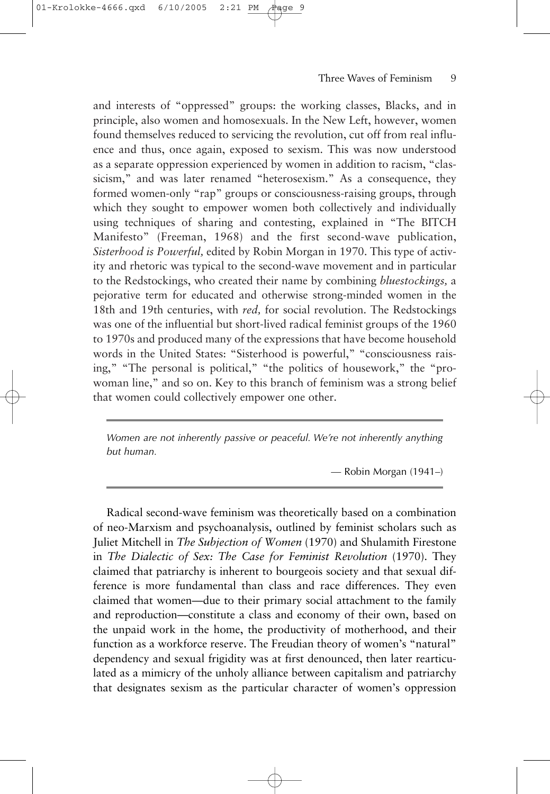and interests of "oppressed" groups: the working classes, Blacks, and in principle, also women and homosexuals. In the New Left, however, women found themselves reduced to servicing the revolution, cut off from real influence and thus, once again, exposed to sexism. This was now understood as a separate oppression experienced by women in addition to racism, "classicism," and was later renamed "heterosexism." As a consequence, they formed women-only "rap" groups or consciousness-raising groups, through which they sought to empower women both collectively and individually using techniques of sharing and contesting, explained in "The BITCH Manifesto" (Freeman, 1968) and the first second-wave publication, *Sisterhood is Powerful,* edited by Robin Morgan in 1970. This type of activity and rhetoric was typical to the second-wave movement and in particular to the Redstockings, who created their name by combining *bluestockings,* a pejorative term for educated and otherwise strong-minded women in the 18th and 19th centuries, with *red,* for social revolution. The Redstockings was one of the influential but short-lived radical feminist groups of the 1960 to 1970s and produced many of the expressions that have become household words in the United States: "Sisterhood is powerful," "consciousness raising," "The personal is political," "the politics of housework," the "prowoman line," and so on. Key to this branch of feminism was a strong belief that women could collectively empower one other.

01-Krolokke-4666.qxd 6/10/2005

*Women are not inherently passive or peaceful. We're not inherently anything but human.*

— Robin Morgan (1941–)

Radical second-wave feminism was theoretically based on a combination of neo-Marxism and psychoanalysis, outlined by feminist scholars such as Juliet Mitchell in *The Subjection of Women* (1970) and Shulamith Firestone in *The Dialectic of Sex: The Case for Feminist Revolution* (1970). They claimed that patriarchy is inherent to bourgeois society and that sexual difference is more fundamental than class and race differences. They even claimed that women—due to their primary social attachment to the family and reproduction—constitute a class and economy of their own, based on the unpaid work in the home, the productivity of motherhood, and their function as a workforce reserve. The Freudian theory of women's "natural" dependency and sexual frigidity was at first denounced, then later rearticulated as a mimicry of the unholy alliance between capitalism and patriarchy that designates sexism as the particular character of women's oppression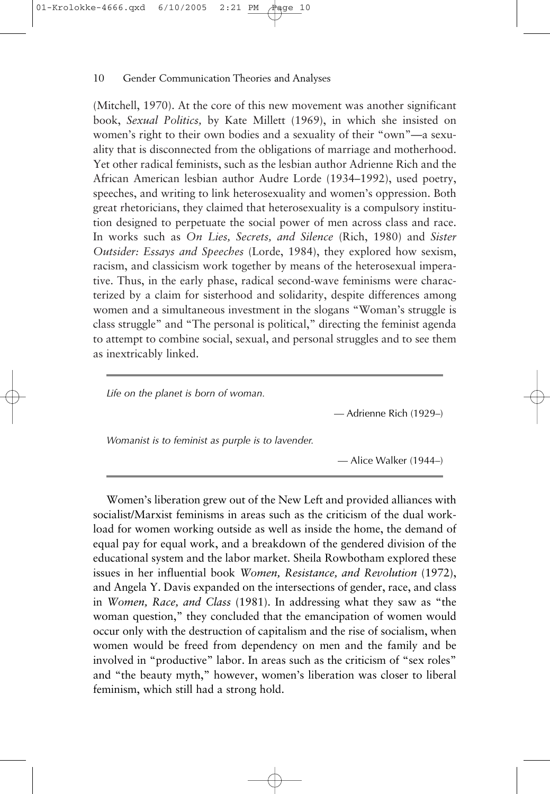(Mitchell, 1970). At the core of this new movement was another significant book, *Sexual Politics,* by Kate Millett (1969), in which she insisted on women's right to their own bodies and a sexuality of their "own"—a sexuality that is disconnected from the obligations of marriage and motherhood. Yet other radical feminists, such as the lesbian author Adrienne Rich and the African American lesbian author Audre Lorde (1934–1992), used poetry, speeches, and writing to link heterosexuality and women's oppression. Both great rhetoricians, they claimed that heterosexuality is a compulsory institution designed to perpetuate the social power of men across class and race. In works such as *On Lies, Secrets, and Silence* (Rich, 1980) and *Sister Outsider: Essays and Speeches* (Lorde, 1984), they explored how sexism, racism, and classicism work together by means of the heterosexual imperative. Thus, in the early phase, radical second-wave feminisms were characterized by a claim for sisterhood and solidarity, despite differences among women and a simultaneous investment in the slogans "Woman's struggle is class struggle" and "The personal is political," directing the feminist agenda to attempt to combine social, sexual, and personal struggles and to see them as inextricably linked.

*Life on the planet is born of woman.*

— Adrienne Rich (1929–)

*Womanist is to feminist as purple is to lavender.*

— Alice Walker (1944–)

Women's liberation grew out of the New Left and provided alliances with socialist/Marxist feminisms in areas such as the criticism of the dual workload for women working outside as well as inside the home, the demand of equal pay for equal work, and a breakdown of the gendered division of the educational system and the labor market. Sheila Rowbotham explored these issues in her influential book *Women, Resistance, and Revolution* (1972), and Angela Y. Davis expanded on the intersections of gender, race, and class in *Women, Race, and Class* (1981). In addressing what they saw as "the woman question," they concluded that the emancipation of women would occur only with the destruction of capitalism and the rise of socialism, when women would be freed from dependency on men and the family and be involved in "productive" labor. In areas such as the criticism of "sex roles" and "the beauty myth," however, women's liberation was closer to liberal feminism, which still had a strong hold.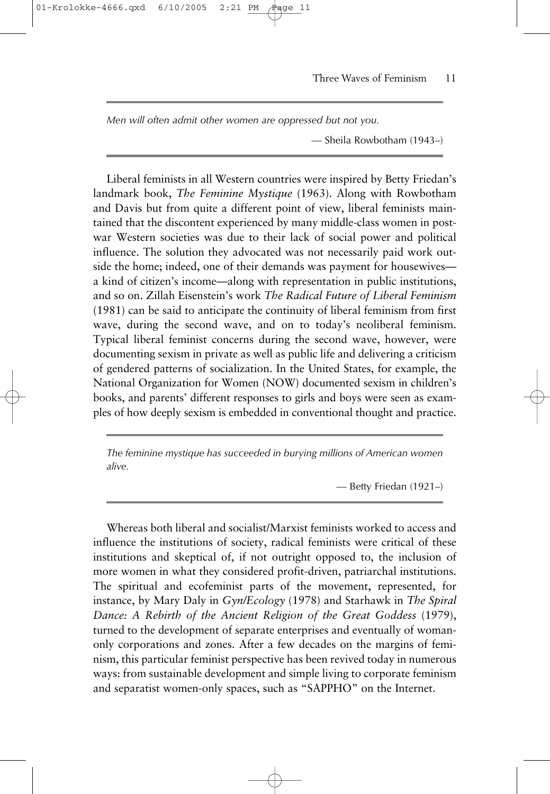*Men will often admit other women are oppressed but not you.*

01-Krolokke-4666.qxd 6/10/2005

— Sheila Rowbotham (1943–)

Liberal feminists in all Western countries were inspired by Betty Friedan's landmark book, *The Feminine Mystique* (1963). Along with Rowbotham and Davis but from quite a different point of view, liberal feminists maintained that the discontent experienced by many middle-class women in postwar Western societies was due to their lack of social power and political influence. The solution they advocated was not necessarily paid work outside the home; indeed, one of their demands was payment for housewives a kind of citizen's income—along with representation in public institutions, and so on. Zillah Eisenstein's work *The Radical Future of Liberal Feminism* (1981) can be said to anticipate the continuity of liberal feminism from first wave, during the second wave, and on to today's neoliberal feminism. Typical liberal feminist concerns during the second wave, however, were documenting sexism in private as well as public life and delivering a criticism of gendered patterns of socialization. In the United States, for example, the National Organization for Women (NOW) documented sexism in children's books, and parents' different responses to girls and boys were seen as examples of how deeply sexism is embedded in conventional thought and practice.

*The feminine mystique has succeeded in burying millions of American women alive.*

— Betty Friedan (1921–)

Whereas both liberal and socialist/Marxist feminists worked to access and influence the institutions of society, radical feminists were critical of these institutions and skeptical of, if not outright opposed to, the inclusion of more women in what they considered profit-driven, patriarchal institutions. The spiritual and ecofeminist parts of the movement, represented, for instance, by Mary Daly in *Gyn/Ecology* (1978) and Starhawk in *The Spiral Dance: A Rebirth of the Ancient Religion of the Great Goddess* (1979), turned to the development of separate enterprises and eventually of womanonly corporations and zones. After a few decades on the margins of feminism, this particular feminist perspective has been revived today in numerous ways: from sustainable development and simple living to corporate feminism and separatist women-only spaces, such as "SAPPHO" on the Internet.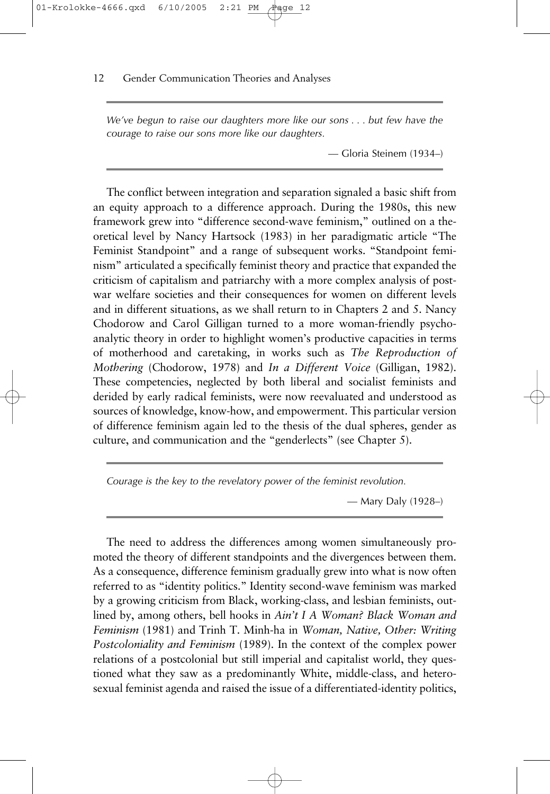*We've begun to raise our daughters more like our sons . . . but few have the courage to raise our sons more like our daughters.*

— Gloria Steinem (1934–)

The conflict between integration and separation signaled a basic shift from an equity approach to a difference approach. During the 1980s, this new framework grew into "difference second-wave feminism," outlined on a theoretical level by Nancy Hartsock (1983) in her paradigmatic article "The Feminist Standpoint" and a range of subsequent works. "Standpoint feminism" articulated a specifically feminist theory and practice that expanded the criticism of capitalism and patriarchy with a more complex analysis of postwar welfare societies and their consequences for women on different levels and in different situations, as we shall return to in Chapters 2 and 5. Nancy Chodorow and Carol Gilligan turned to a more woman-friendly psychoanalytic theory in order to highlight women's productive capacities in terms of motherhood and caretaking, in works such as *The Reproduction of Mothering* (Chodorow, 1978) and *In a Different Voice* (Gilligan, 1982). These competencies, neglected by both liberal and socialist feminists and derided by early radical feminists, were now reevaluated and understood as sources of knowledge, know-how, and empowerment. This particular version of difference feminism again led to the thesis of the dual spheres, gender as culture, and communication and the "genderlects" (see Chapter 5).

*Courage is the key to the revelatory power of the feminist revolution.*

— Mary Daly (1928–)

The need to address the differences among women simultaneously promoted the theory of different standpoints and the divergences between them. As a consequence, difference feminism gradually grew into what is now often referred to as "identity politics." Identity second-wave feminism was marked by a growing criticism from Black, working-class, and lesbian feminists, outlined by, among others, bell hooks in *Ain't I A Woman? Black Woman and Feminism* (1981) and Trinh T. Minh-ha in *Woman, Native, Other: Writing Postcoloniality and Feminism* (1989). In the context of the complex power relations of a postcolonial but still imperial and capitalist world, they questioned what they saw as a predominantly White, middle-class, and heterosexual feminist agenda and raised the issue of a differentiated-identity politics,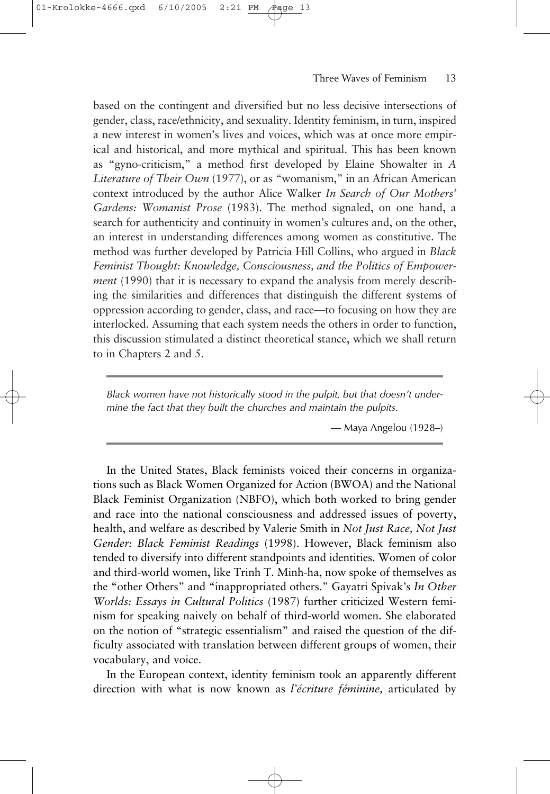based on the contingent and diversified but no less decisive intersections of gender, class, race/ethnicity, and sexuality. Identity feminism, in turn, inspired a new interest in women's lives and voices, which was at once more empirical and historical, and more mythical and spiritual. This has been known as "gyno-criticism," a method first developed by Elaine Showalter in *A Literature of Their Own* (1977), or as "womanism," in an African American context introduced by the author Alice Walker *In Search of Our Mothers' Gardens: Womanist Prose* (1983). The method signaled, on one hand, a search for authenticity and continuity in women's cultures and, on the other, an interest in understanding differences among women as constitutive. The method was further developed by Patricia Hill Collins, who argued in *Black Feminist Thought: Knowledge, Consciousness, and the Politics of Empowerment* (1990) that it is necessary to expand the analysis from merely describing the similarities and differences that distinguish the different systems of oppression according to gender, class, and race—to focusing on how they are interlocked. Assuming that each system needs the others in order to function, this discussion stimulated a distinct theoretical stance, which we shall return to in Chapters 2 and 5.

01-Krolokke-4666.qxd 6/10/2005

*Black women have not historically stood in the pulpit, but that doesn't undermine the fact that they built the churches and maintain the pulpits.*

— Maya Angelou (1928–)

In the United States, Black feminists voiced their concerns in organizations such as Black Women Organized for Action (BWOA) and the National Black Feminist Organization (NBFO), which both worked to bring gender and race into the national consciousness and addressed issues of poverty, health, and welfare as described by Valerie Smith in *Not Just Race, Not Just Gender: Black Feminist Readings* (1998). However, Black feminism also tended to diversify into different standpoints and identities. Women of color and third-world women, like Trinh T. Minh-ha, now spoke of themselves as the "other Others" and "inappropriated others." Gayatri Spivak's *In Other Worlds: Essays in Cultural Politics* (1987) further criticized Western feminism for speaking naively on behalf of third-world women. She elaborated on the notion of "strategic essentialism" and raised the question of the difficulty associated with translation between different groups of women, their vocabulary, and voice.

In the European context, identity feminism took an apparently different direction with what is now known as *l'écriture féminine,* articulated by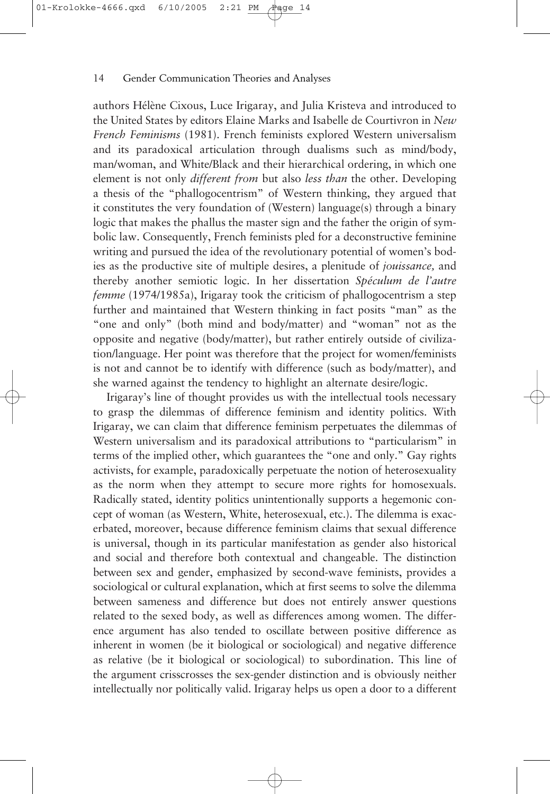authors Hélène Cixous, Luce Irigaray, and Julia Kristeva and introduced to the United States by editors Elaine Marks and Isabelle de Courtivron in *New French Feminisms* (1981). French feminists explored Western universalism and its paradoxical articulation through dualisms such as mind/body, man/woman, and White/Black and their hierarchical ordering, in which one element is not only *different from* but also *less than* the other. Developing a thesis of the "phallogocentrism" of Western thinking, they argued that it constitutes the very foundation of (Western) language(s) through a binary logic that makes the phallus the master sign and the father the origin of symbolic law. Consequently, French feminists pled for a deconstructive feminine writing and pursued the idea of the revolutionary potential of women's bodies as the productive site of multiple desires, a plenitude of *jouissance,* and thereby another semiotic logic. In her dissertation *Spéculum de l'autre femme* (1974/1985a), Irigaray took the criticism of phallogocentrism a step further and maintained that Western thinking in fact posits "man" as the "one and only" (both mind and body/matter) and "woman" not as the opposite and negative (body/matter), but rather entirely outside of civilization/language. Her point was therefore that the project for women/feminists is not and cannot be to identify with difference (such as body/matter), and she warned against the tendency to highlight an alternate desire/logic.

Irigaray's line of thought provides us with the intellectual tools necessary to grasp the dilemmas of difference feminism and identity politics. With Irigaray, we can claim that difference feminism perpetuates the dilemmas of Western universalism and its paradoxical attributions to "particularism" in terms of the implied other, which guarantees the "one and only." Gay rights activists, for example, paradoxically perpetuate the notion of heterosexuality as the norm when they attempt to secure more rights for homosexuals. Radically stated, identity politics unintentionally supports a hegemonic concept of woman (as Western, White, heterosexual, etc.). The dilemma is exacerbated, moreover, because difference feminism claims that sexual difference is universal, though in its particular manifestation as gender also historical and social and therefore both contextual and changeable. The distinction between sex and gender, emphasized by second-wave feminists, provides a sociological or cultural explanation, which at first seems to solve the dilemma between sameness and difference but does not entirely answer questions related to the sexed body, as well as differences among women. The difference argument has also tended to oscillate between positive difference as inherent in women (be it biological or sociological) and negative difference as relative (be it biological or sociological) to subordination. This line of the argument crisscrosses the sex-gender distinction and is obviously neither intellectually nor politically valid. Irigaray helps us open a door to a different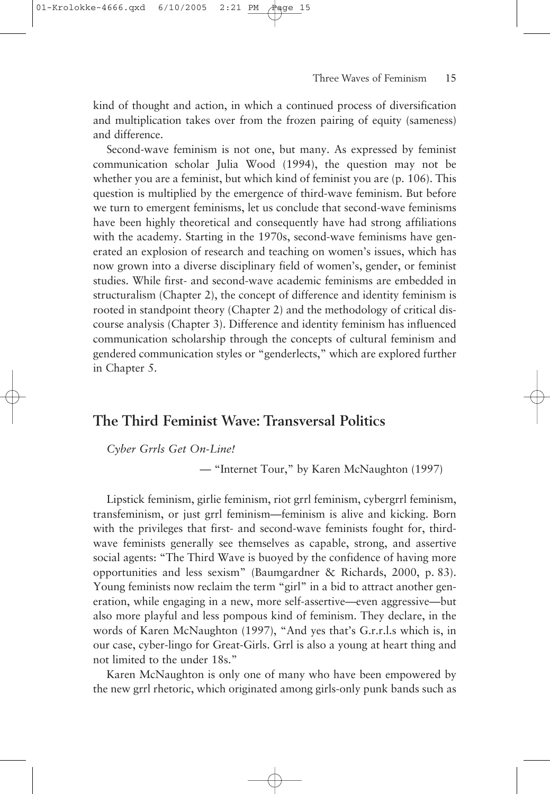Second-wave feminism is not one, but many. As expressed by feminist communication scholar Julia Wood (1994), the question may not be whether you are a feminist, but which kind of feminist you are (p. 106). This question is multiplied by the emergence of third-wave feminism. But before we turn to emergent feminisms, let us conclude that second-wave feminisms have been highly theoretical and consequently have had strong affiliations with the academy. Starting in the 1970s, second-wave feminisms have generated an explosion of research and teaching on women's issues, which has now grown into a diverse disciplinary field of women's, gender, or feminist studies. While first- and second-wave academic feminisms are embedded in structuralism (Chapter 2), the concept of difference and identity feminism is rooted in standpoint theory (Chapter 2) and the methodology of critical discourse analysis (Chapter 3). Difference and identity feminism has influenced communication scholarship through the concepts of cultural feminism and gendered communication styles or "genderlects," which are explored further in Chapter 5.

### **The Third Feminist Wave: Transversal Politics**

*Cyber Grrls Get On-Line!*

01-Krolokke-4666.qxd 6/10/2005

— "Internet Tour," by Karen McNaughton (1997)

Lipstick feminism, girlie feminism, riot grrl feminism, cybergrrl feminism, transfeminism, or just grrl feminism—feminism is alive and kicking. Born with the privileges that first- and second-wave feminists fought for, thirdwave feminists generally see themselves as capable, strong, and assertive social agents: "The Third Wave is buoyed by the confidence of having more opportunities and less sexism" (Baumgardner & Richards, 2000, p. 83). Young feminists now reclaim the term "girl" in a bid to attract another generation, while engaging in a new, more self-assertive—even aggressive—but also more playful and less pompous kind of feminism. They declare, in the words of Karen McNaughton (1997), "And yes that's G.r.r.l.s which is, in our case, cyber-lingo for Great-Girls. Grrl is also a young at heart thing and not limited to the under 18s."

Karen McNaughton is only one of many who have been empowered by the new grrl rhetoric, which originated among girls-only punk bands such as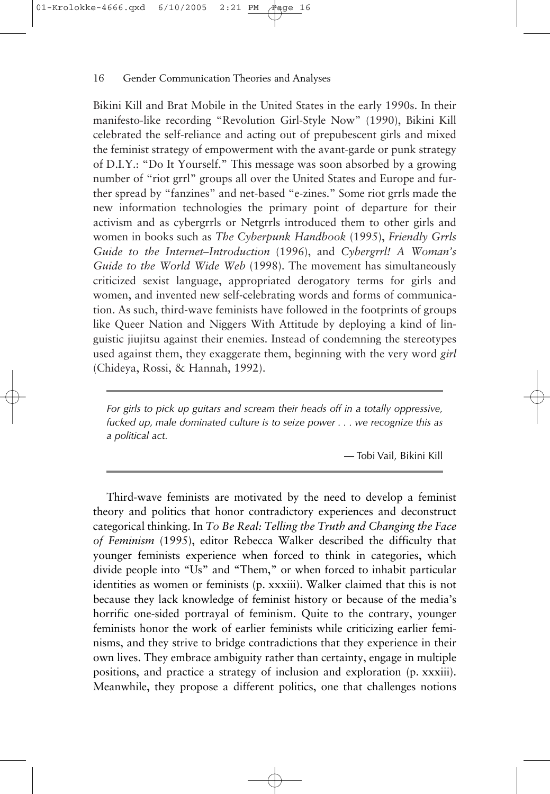Bikini Kill and Brat Mobile in the United States in the early 1990s. In their manifesto-like recording "Revolution Girl-Style Now" (1990), Bikini Kill celebrated the self-reliance and acting out of prepubescent girls and mixed the feminist strategy of empowerment with the avant-garde or punk strategy of D.I.Y.: "Do It Yourself." This message was soon absorbed by a growing number of "riot grrl" groups all over the United States and Europe and further spread by "fanzines" and net-based "e-zines." Some riot grrls made the new information technologies the primary point of departure for their activism and as cybergrrls or Netgrrls introduced them to other girls and women in books such as *The Cyberpunk Handbook* (1995), *Friendly Grrls Guide to the Internet–Introduction* (1996), and *Cybergrrl! A Woman's Guide to the World Wide Web* (1998). The movement has simultaneously criticized sexist language, appropriated derogatory terms for girls and women, and invented new self-celebrating words and forms of communication. As such, third-wave feminists have followed in the footprints of groups like Queer Nation and Niggers With Attitude by deploying a kind of linguistic jiujitsu against their enemies. Instead of condemning the stereotypes used against them, they exaggerate them, beginning with the very word *girl* (Chideya, Rossi, & Hannah, 1992).

*For girls to pick up guitars and scream their heads off in a totally oppressive, fucked up, male dominated culture is to seize power . . . we recognize this as a political act.*

— Tobi Vail, Bikini Kill

Third-wave feminists are motivated by the need to develop a feminist theory and politics that honor contradictory experiences and deconstruct categorical thinking. In *To Be Real: Telling the Truth and Changing the Face of Feminism* (1995), editor Rebecca Walker described the difficulty that younger feminists experience when forced to think in categories, which divide people into "Us" and "Them," or when forced to inhabit particular identities as women or feminists (p. xxxiii). Walker claimed that this is not because they lack knowledge of feminist history or because of the media's horrific one-sided portrayal of feminism. Quite to the contrary, younger feminists honor the work of earlier feminists while criticizing earlier feminisms, and they strive to bridge contradictions that they experience in their own lives. They embrace ambiguity rather than certainty, engage in multiple positions, and practice a strategy of inclusion and exploration (p. xxxiii). Meanwhile, they propose a different politics, one that challenges notions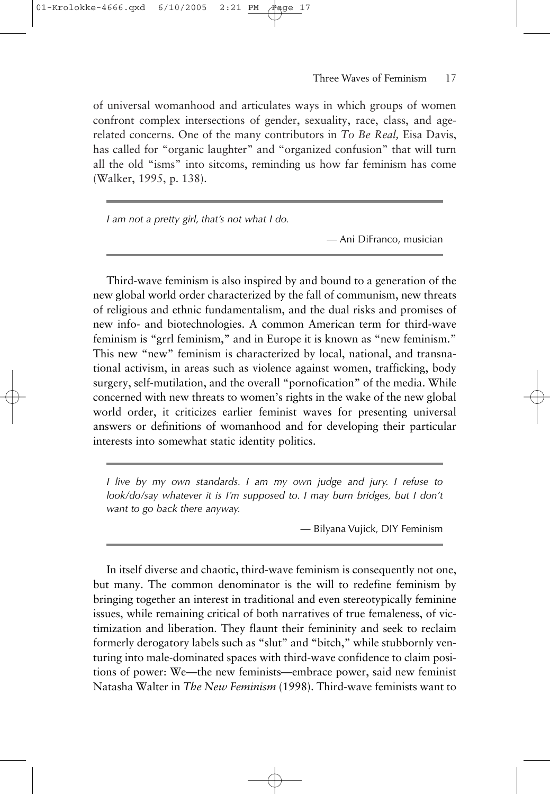of universal womanhood and articulates ways in which groups of women confront complex intersections of gender, sexuality, race, class, and agerelated concerns. One of the many contributors in *To Be Real,* Eisa Davis, has called for "organic laughter" and "organized confusion" that will turn all the old "isms" into sitcoms, reminding us how far feminism has come (Walker, 1995, p. 138).

*I am not a pretty girl, that's not what I do.*

— Ani DiFranco, musician

Third-wave feminism is also inspired by and bound to a generation of the new global world order characterized by the fall of communism, new threats of religious and ethnic fundamentalism, and the dual risks and promises of new info- and biotechnologies. A common American term for third-wave feminism is "grrl feminism," and in Europe it is known as "new feminism." This new "new" feminism is characterized by local, national, and transnational activism, in areas such as violence against women, trafficking, body surgery, self-mutilation, and the overall "pornofication" of the media. While concerned with new threats to women's rights in the wake of the new global world order, it criticizes earlier feminist waves for presenting universal answers or definitions of womanhood and for developing their particular interests into somewhat static identity politics.

*I live by my own standards. I am my own judge and jury. I refuse to look/do/say whatever it is I'm supposed to. I may burn bridges, but I don't want to go back there anyway.*

— Bilyana Vujick, DIY Feminism

In itself diverse and chaotic, third-wave feminism is consequently not one, but many. The common denominator is the will to redefine feminism by bringing together an interest in traditional and even stereotypically feminine issues, while remaining critical of both narratives of true femaleness, of victimization and liberation. They flaunt their femininity and seek to reclaim formerly derogatory labels such as "slut" and "bitch," while stubbornly venturing into male-dominated spaces with third-wave confidence to claim positions of power: We—the new feminists—embrace power, said new feminist Natasha Walter in *The New Feminism* (1998). Third-wave feminists want to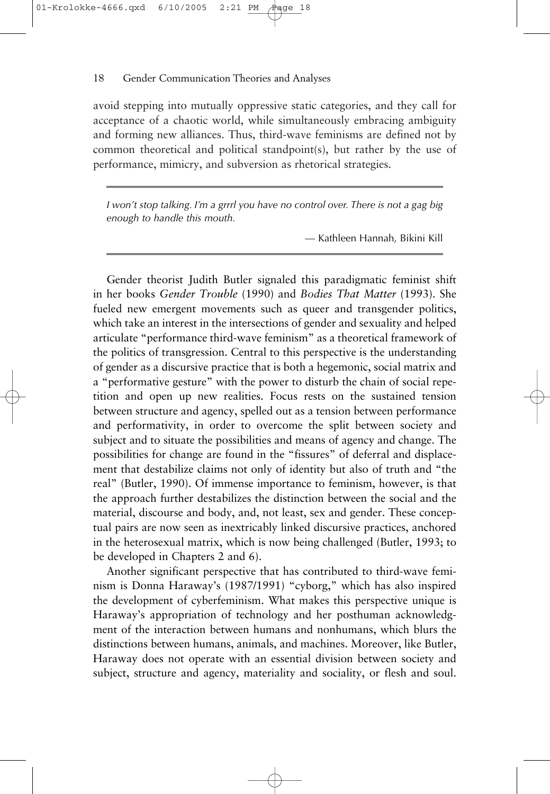avoid stepping into mutually oppressive static categories, and they call for acceptance of a chaotic world, while simultaneously embracing ambiguity and forming new alliances. Thus, third-wave feminisms are defined not by common theoretical and political standpoint(s), but rather by the use of performance, mimicry, and subversion as rhetorical strategies.

*I won't stop talking. I'm a grrrl you have no control over. There is not a gag big enough to handle this mouth.*

— Kathleen Hannah, Bikini Kill

Gender theorist Judith Butler signaled this paradigmatic feminist shift in her books *Gender Trouble* (1990) and *Bodies That Matter* (1993). She fueled new emergent movements such as queer and transgender politics, which take an interest in the intersections of gender and sexuality and helped articulate "performance third-wave feminism" as a theoretical framework of the politics of transgression. Central to this perspective is the understanding of gender as a discursive practice that is both a hegemonic, social matrix and a "performative gesture" with the power to disturb the chain of social repetition and open up new realities. Focus rests on the sustained tension between structure and agency, spelled out as a tension between performance and performativity, in order to overcome the split between society and subject and to situate the possibilities and means of agency and change. The possibilities for change are found in the "fissures" of deferral and displacement that destabilize claims not only of identity but also of truth and "the real" (Butler, 1990). Of immense importance to feminism, however, is that the approach further destabilizes the distinction between the social and the material, discourse and body, and, not least, sex and gender. These conceptual pairs are now seen as inextricably linked discursive practices, anchored in the heterosexual matrix, which is now being challenged (Butler, 1993; to be developed in Chapters 2 and 6).

Another significant perspective that has contributed to third-wave feminism is Donna Haraway's (1987/1991) "cyborg," which has also inspired the development of cyberfeminism. What makes this perspective unique is Haraway's appropriation of technology and her posthuman acknowledgment of the interaction between humans and nonhumans, which blurs the distinctions between humans, animals, and machines. Moreover, like Butler, Haraway does not operate with an essential division between society and subject, structure and agency, materiality and sociality, or flesh and soul.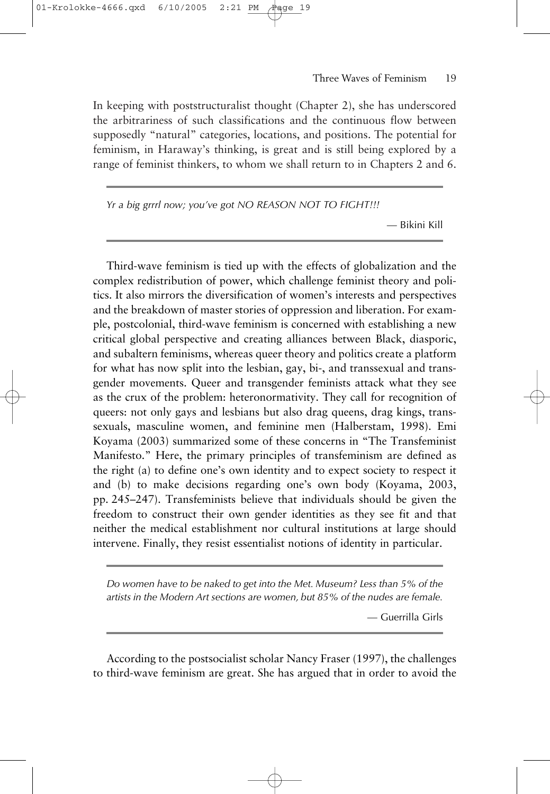In keeping with poststructuralist thought (Chapter 2), she has underscored the arbitrariness of such classifications and the continuous flow between supposedly "natural" categories, locations, and positions. The potential for feminism, in Haraway's thinking, is great and is still being explored by a range of feminist thinkers, to whom we shall return to in Chapters 2 and 6.

*Yr a big grrrl now; you've got NO REASON NOT TO FIGHT!!!*

— Bikini Kill

Third-wave feminism is tied up with the effects of globalization and the complex redistribution of power, which challenge feminist theory and politics. It also mirrors the diversification of women's interests and perspectives and the breakdown of master stories of oppression and liberation. For example, postcolonial, third-wave feminism is concerned with establishing a new critical global perspective and creating alliances between Black, diasporic, and subaltern feminisms, whereas queer theory and politics create a platform for what has now split into the lesbian, gay, bi-, and transsexual and transgender movements. Queer and transgender feminists attack what they see as the crux of the problem: heteronormativity. They call for recognition of queers: not only gays and lesbians but also drag queens, drag kings, transsexuals, masculine women, and feminine men (Halberstam, 1998). Emi Koyama (2003) summarized some of these concerns in "The Transfeminist Manifesto." Here, the primary principles of transfeminism are defined as the right (a) to define one's own identity and to expect society to respect it and (b) to make decisions regarding one's own body (Koyama, 2003, pp. 245–247). Transfeminists believe that individuals should be given the freedom to construct their own gender identities as they see fit and that neither the medical establishment nor cultural institutions at large should intervene. Finally, they resist essentialist notions of identity in particular.

*Do women have to be naked to get into the Met. Museum? Less than 5% of the artists in the Modern Art sections are women, but 85% of the nudes are female.*

— Guerrilla Girls

According to the postsocialist scholar Nancy Fraser (1997), the challenges to third-wave feminism are great. She has argued that in order to avoid the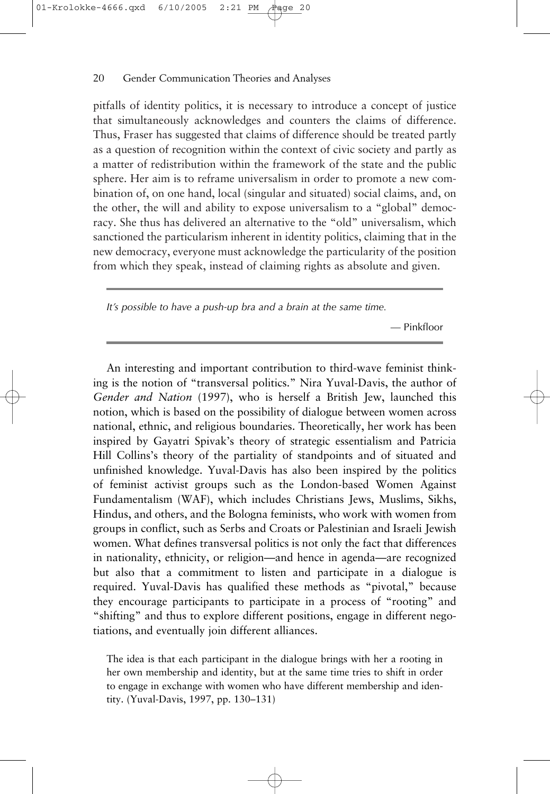pitfalls of identity politics, it is necessary to introduce a concept of justice that simultaneously acknowledges and counters the claims of difference. Thus, Fraser has suggested that claims of difference should be treated partly as a question of recognition within the context of civic society and partly as a matter of redistribution within the framework of the state and the public sphere. Her aim is to reframe universalism in order to promote a new combination of, on one hand, local (singular and situated) social claims, and, on the other, the will and ability to expose universalism to a "global" democracy. She thus has delivered an alternative to the "old" universalism, which sanctioned the particularism inherent in identity politics, claiming that in the new democracy, everyone must acknowledge the particularity of the position from which they speak, instead of claiming rights as absolute and given.

*It's possible to have a push-up bra and a brain at the same time.*

— Pinkfloor

An interesting and important contribution to third-wave feminist thinking is the notion of "transversal politics." Nira Yuval-Davis, the author of *Gender and Nation* (1997), who is herself a British Jew, launched this notion, which is based on the possibility of dialogue between women across national, ethnic, and religious boundaries. Theoretically, her work has been inspired by Gayatri Spivak's theory of strategic essentialism and Patricia Hill Collins's theory of the partiality of standpoints and of situated and unfinished knowledge. Yuval-Davis has also been inspired by the politics of feminist activist groups such as the London-based Women Against Fundamentalism (WAF), which includes Christians Jews, Muslims, Sikhs, Hindus, and others, and the Bologna feminists, who work with women from groups in conflict, such as Serbs and Croats or Palestinian and Israeli Jewish women. What defines transversal politics is not only the fact that differences in nationality, ethnicity, or religion—and hence in agenda—are recognized but also that a commitment to listen and participate in a dialogue is required. Yuval-Davis has qualified these methods as "pivotal," because they encourage participants to participate in a process of "rooting" and "shifting" and thus to explore different positions, engage in different negotiations, and eventually join different alliances.

The idea is that each participant in the dialogue brings with her a rooting in her own membership and identity, but at the same time tries to shift in order to engage in exchange with women who have different membership and identity. (Yuval-Davis, 1997, pp. 130–131)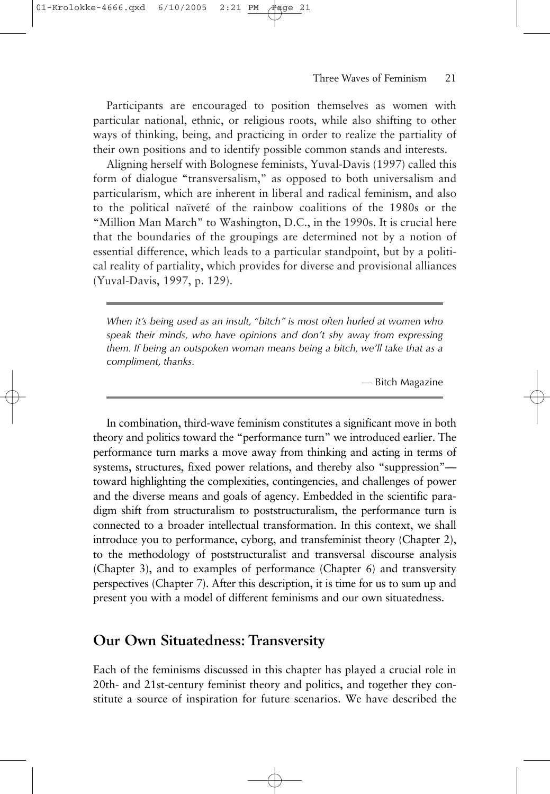Participants are encouraged to position themselves as women with particular national, ethnic, or religious roots, while also shifting to other ways of thinking, being, and practicing in order to realize the partiality of their own positions and to identify possible common stands and interests.

Aligning herself with Bolognese feminists, Yuval-Davis (1997) called this form of dialogue "transversalism," as opposed to both universalism and particularism, which are inherent in liberal and radical feminism, and also to the political naïveté of the rainbow coalitions of the 1980s or the "Million Man March" to Washington, D.C., in the 1990s. It is crucial here that the boundaries of the groupings are determined not by a notion of essential difference, which leads to a particular standpoint, but by a political reality of partiality, which provides for diverse and provisional alliances (Yuval-Davis, 1997, p. 129).

*When it's being used as an insult, "bitch" is most often hurled at women who speak their minds, who have opinions and don't shy away from expressing them. If being an outspoken woman means being a bitch, we'll take that as a compliment, thanks.*

— Bitch Magazine

In combination, third-wave feminism constitutes a significant move in both theory and politics toward the "performance turn" we introduced earlier. The performance turn marks a move away from thinking and acting in terms of systems, structures, fixed power relations, and thereby also "suppression" toward highlighting the complexities, contingencies, and challenges of power and the diverse means and goals of agency. Embedded in the scientific paradigm shift from structuralism to poststructuralism, the performance turn is connected to a broader intellectual transformation. In this context, we shall introduce you to performance, cyborg, and transfeminist theory (Chapter 2), to the methodology of poststructuralist and transversal discourse analysis (Chapter 3), and to examples of performance (Chapter 6) and transversity perspectives (Chapter 7). After this description, it is time for us to sum up and present you with a model of different feminisms and our own situatedness.

# **Our Own Situatedness: Transversity**

Each of the feminisms discussed in this chapter has played a crucial role in 20th- and 21st-century feminist theory and politics, and together they constitute a source of inspiration for future scenarios. We have described the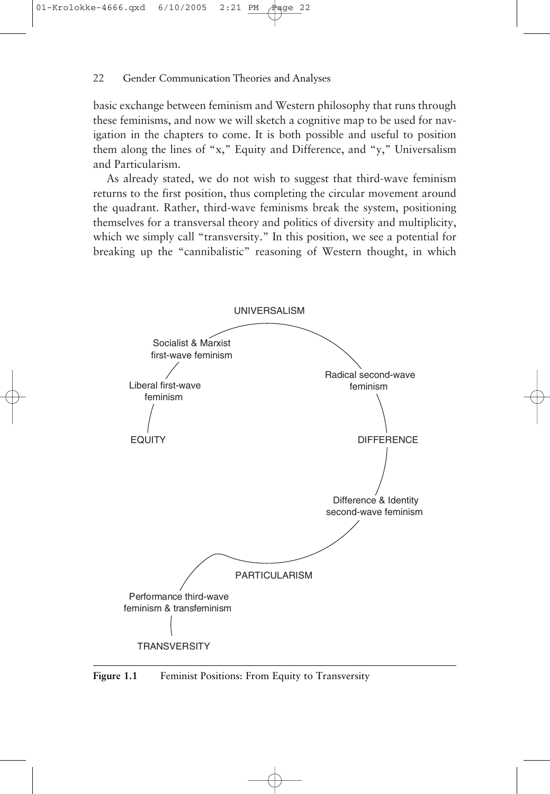basic exchange between feminism and Western philosophy that runs through these feminisms, and now we will sketch a cognitive map to be used for navigation in the chapters to come. It is both possible and useful to position them along the lines of "x," Equity and Difference, and "y," Universalism and Particularism.

As already stated, we do not wish to suggest that third-wave feminism returns to the first position, thus completing the circular movement around the quadrant. Rather, third-wave feminisms break the system, positioning themselves for a transversal theory and politics of diversity and multiplicity, which we simply call "transversity." In this position, we see a potential for breaking up the "cannibalistic" reasoning of Western thought, in which



Figure 1.1 Feminist Positions: From Equity to Transversity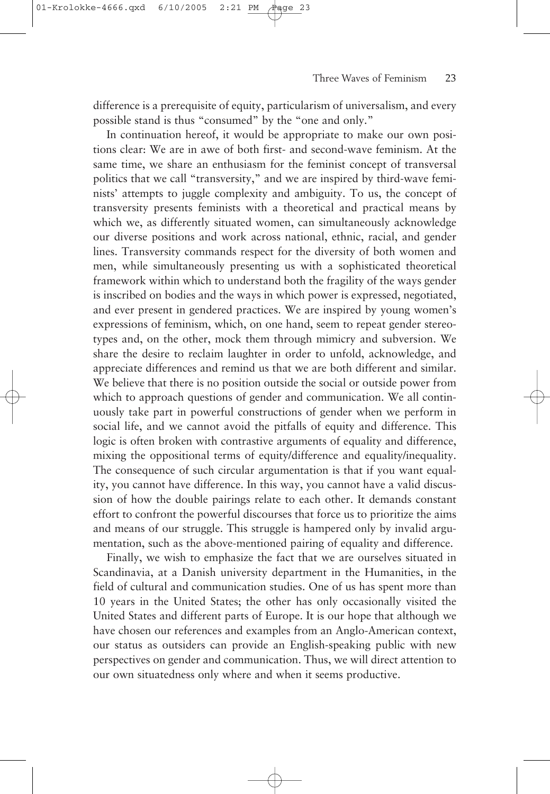01-Krolokke-4666.qxd 6/10/2005

difference is a prerequisite of equity, particularism of universalism, and every possible stand is thus "consumed" by the "one and only."

In continuation hereof, it would be appropriate to make our own positions clear: We are in awe of both first- and second-wave feminism. At the same time, we share an enthusiasm for the feminist concept of transversal politics that we call "transversity," and we are inspired by third-wave feminists' attempts to juggle complexity and ambiguity. To us, the concept of transversity presents feminists with a theoretical and practical means by which we, as differently situated women, can simultaneously acknowledge our diverse positions and work across national, ethnic, racial, and gender lines. Transversity commands respect for the diversity of both women and men, while simultaneously presenting us with a sophisticated theoretical framework within which to understand both the fragility of the ways gender is inscribed on bodies and the ways in which power is expressed, negotiated, and ever present in gendered practices. We are inspired by young women's expressions of feminism, which, on one hand, seem to repeat gender stereotypes and, on the other, mock them through mimicry and subversion. We share the desire to reclaim laughter in order to unfold, acknowledge, and appreciate differences and remind us that we are both different and similar. We believe that there is no position outside the social or outside power from which to approach questions of gender and communication. We all continuously take part in powerful constructions of gender when we perform in social life, and we cannot avoid the pitfalls of equity and difference. This logic is often broken with contrastive arguments of equality and difference, mixing the oppositional terms of equity/difference and equality/inequality. The consequence of such circular argumentation is that if you want equality, you cannot have difference. In this way, you cannot have a valid discussion of how the double pairings relate to each other. It demands constant effort to confront the powerful discourses that force us to prioritize the aims and means of our struggle. This struggle is hampered only by invalid argumentation, such as the above-mentioned pairing of equality and difference.

Finally, we wish to emphasize the fact that we are ourselves situated in Scandinavia, at a Danish university department in the Humanities, in the field of cultural and communication studies. One of us has spent more than 10 years in the United States; the other has only occasionally visited the United States and different parts of Europe. It is our hope that although we have chosen our references and examples from an Anglo-American context, our status as outsiders can provide an English-speaking public with new perspectives on gender and communication. Thus, we will direct attention to our own situatedness only where and when it seems productive.